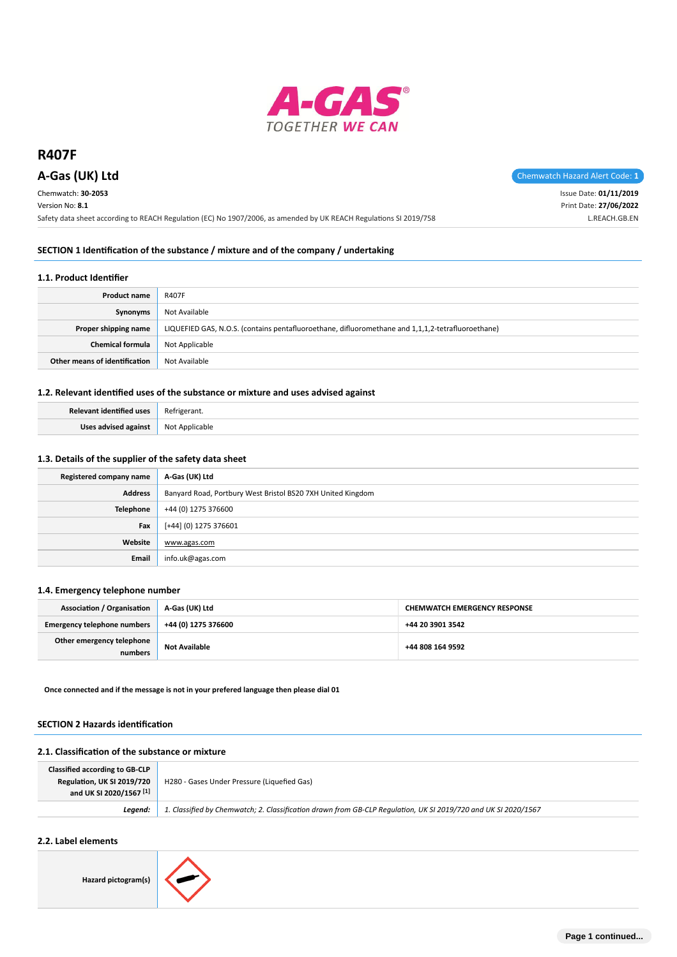

Chemwatch: **30-2053**

Version No: **8.1**

**A-Gas (UK) Ltd** Chemwatch Hazard Alert Code: 1

Issue Date: **01/11/2019** Print Date: **27/06/2022** L.REACH.GB.EN

Safety data sheet according to REACH Regulation (EC) No 1907/2006, as amended by UK REACH Regulations SI 2019/758

## **SECTION 1 Identification of the substance / mixture and of the company / undertaking**

#### **1.1. Product Identifier**

| Product name                  | <b>R407F</b>                                                                                      |
|-------------------------------|---------------------------------------------------------------------------------------------------|
| Synonyms                      | Not Available                                                                                     |
| Proper shipping name          | LIQUEFIED GAS, N.O.S. (contains pentafluoroethane, difluoromethane and 1,1,1,2-tetrafluoroethane) |
| <b>Chemical formula</b>       | Not Applicable                                                                                    |
| Other means of identification | Not Available                                                                                     |

## **1.2. Relevant identified uses of the substance or mixture and uses advised against**

| Relevant identified uses | Refrigerant.   |
|--------------------------|----------------|
| Uses advised against     | Not Applicable |

## **1.3. Details of the supplier of the safety data sheet**

| Registered company name | A-Gas (UK) Ltd                                              |
|-------------------------|-------------------------------------------------------------|
| <b>Address</b>          | Banyard Road, Portbury West Bristol BS20 7XH United Kingdom |
| <b>Telephone</b>        | +44 (0) 1275 376600                                         |
| Fax                     | [+44] (0) 1275 376601                                       |
| Website                 | www.agas.com                                                |
| Email                   | info.uk@agas.com                                            |

#### **1.4. Emergency telephone number**

| <b>Association / Organisation</b>    | A-Gas (UK) Ltd       | <b>CHEMWATCH EMERGENCY RESPONSE</b> |
|--------------------------------------|----------------------|-------------------------------------|
| <b>Emergency telephone numbers</b>   | +44 (0) 1275 376600  | +44 20 3901 3542                    |
| Other emergency telephone<br>numbers | <b>Not Available</b> | +44 808 164 9592                    |

**Once connected and if the message is not in your prefered language then please dial 01**

#### **SECTION 2 Hazards identification**

## **2.1. Classification of the substance or mixture**

| <b>Classified according to GB-CLP</b><br>Regulation, UK SI 2019/720<br>and UK SI 2020/1567 <sup>[1]</sup> | H280 - Gases Under Pressure (Liquefied Gas)                                                                    |
|-----------------------------------------------------------------------------------------------------------|----------------------------------------------------------------------------------------------------------------|
| Leaend:                                                                                                   | 1. Classified by Chemwatch; 2. Classification drawn from GB-CLP Regulation, UK SI 2019/720 and UK SI 2020/1567 |

# **2.2. Label elements**

**Hazard pictogram(s)**

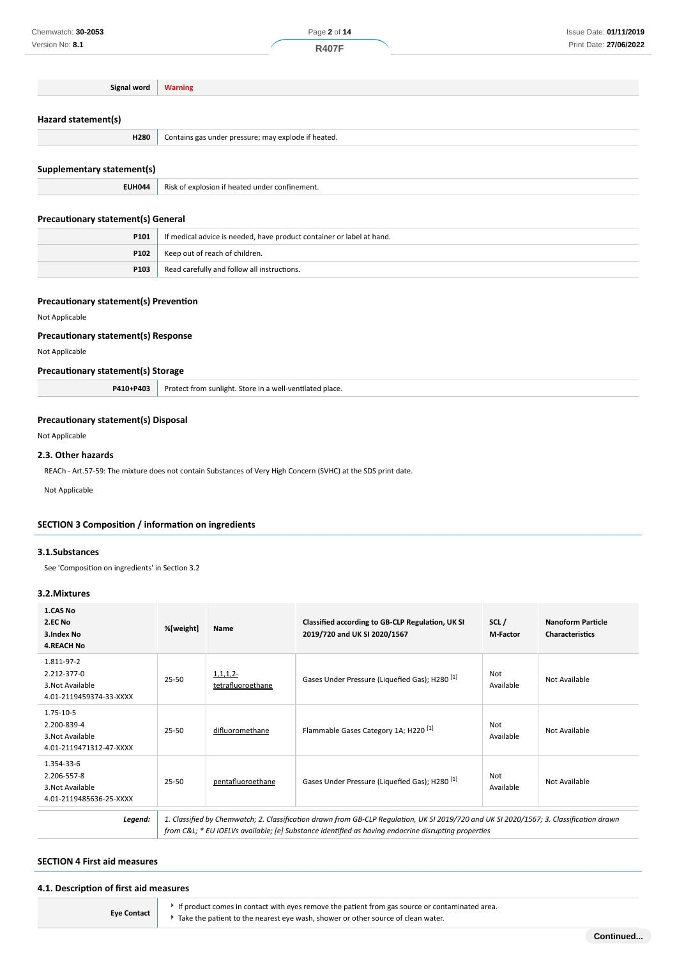**Signal word Warning Hazard statement(s)**

| Supplementary statement(s) |  |
|----------------------------|--|
|----------------------------|--|

|  | <b>EUH044</b> Risk of explosion if heated under confinement. |
|--|--------------------------------------------------------------|
|--|--------------------------------------------------------------|

**H280** Contains gas under pressure; may explode if heated.

# **Precautionary statement(s) General**

| P101 | If medical advice is needed, have product container or label at hand. |
|------|-----------------------------------------------------------------------|
| P102 | Keep out of reach of children.                                        |
| P103 | Read carefully and follow all instructions.                           |

## **Precautionary statement(s) Prevention**

#### Not Applicable

## **Precautionary statement(s) Response**

Not Applicable

## **Precautionary statement(s) Storage**

| <b>D410+D403</b> | Store in a well-ventilated place.<br><b>Protec</b><br>sunlight.<br>trom |
|------------------|-------------------------------------------------------------------------|
|------------------|-------------------------------------------------------------------------|

## **Precautionary statement(s) Disposal**

Not Applicable

#### **2.3. Other hazards**

REACh - Art.57-59: The mixture does not contain Substances of Very High Concern (SVHC) at the SDS print date.

Not Applicable

## **SECTION 3 Composition / information on ingredients**

## **3.1.Substances**

See 'Composition on ingredients' in Section 3.2

## **3.2.Mixtures**

| 1.CAS No<br>2.EC No<br>3.Index No<br><b>4.REACH No</b>                   | %[weight] | Name                            | Classified according to GB-CLP Regulation, UK SI<br>2019/720 and UK SI 2020/1567                                                                                                                                                              | SCL/<br><b>M-Factor</b> | <b>Nanoform Particle</b><br><b>Characteristics</b> |
|--------------------------------------------------------------------------|-----------|---------------------------------|-----------------------------------------------------------------------------------------------------------------------------------------------------------------------------------------------------------------------------------------------|-------------------------|----------------------------------------------------|
| 1.811-97-2<br>2.212-377-0<br>3. Not Available<br>4.01-2119459374-33-XXXX | 25-50     | $1,1,1,2-$<br>tetrafluoroethane | Gases Under Pressure (Liquefied Gas); H280 <sup>[1]</sup>                                                                                                                                                                                     | Not<br>Available        | Not Available                                      |
| 1.75-10-5<br>2.200-839-4<br>3. Not Available<br>4.01-2119471312-47-XXXX  | 25-50     | difluoromethane                 | Flammable Gases Category 1A; H220 <sup>[1]</sup>                                                                                                                                                                                              | Not<br>Available        | Not Available                                      |
| 1.354-33-6<br>2.206-557-8<br>3. Not Available<br>4.01-2119485636-25-XXXX | 25-50     | pentafluoroethane               | Gases Under Pressure (Liquefied Gas); H280 <sup>[1]</sup>                                                                                                                                                                                     | Not<br>Available        | Not Available                                      |
| Legend:                                                                  |           |                                 | 1. Classified by Chemwatch; 2. Classification drawn from GB-CLP Regulation, UK SI 2019/720 and UK SI 2020/1567; 3. Classification drawn<br>from C&L * EU IOELVs available; [e] Substance identified as having endocrine disrupting properties |                         |                                                    |

#### **SECTION 4 First aid measures**

## **4.1. Description of first aid measures**

**Eye Contact**

If product comes in contact with eyes remove the patient from gas source or contaminated area. Take the patient to the nearest eye wash, shower or other source of clean water.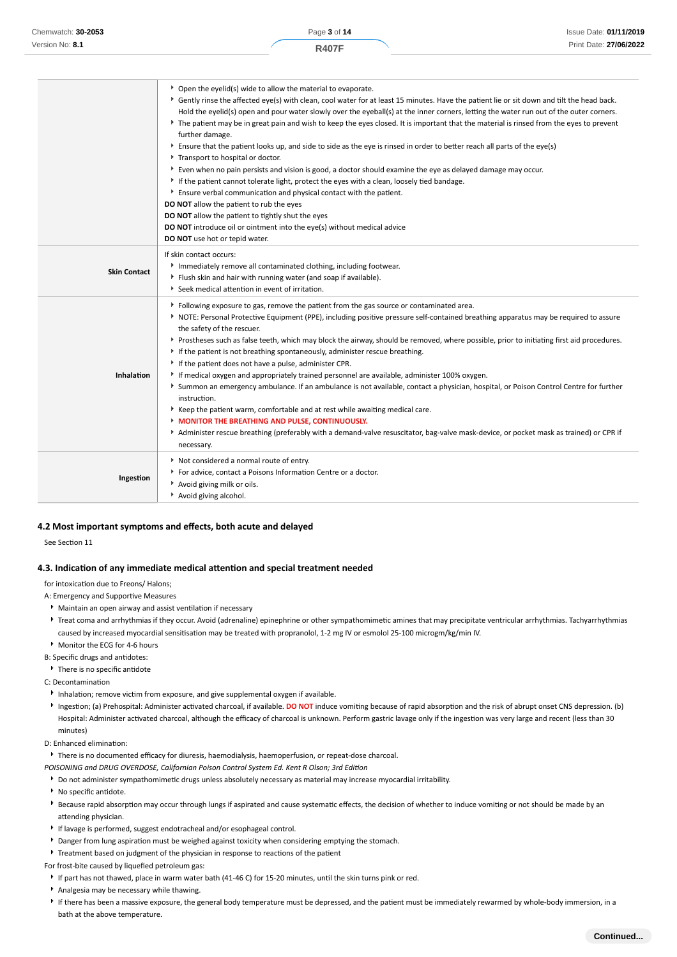|                     | • Open the eyelid(s) wide to allow the material to evaporate.                                                                                                |
|---------------------|--------------------------------------------------------------------------------------------------------------------------------------------------------------|
|                     | ▶ Gently rinse the affected eye(s) with clean, cool water for at least 15 minutes. Have the patient lie or sit down and tilt the head back.                  |
|                     | Hold the eyelid(s) open and pour water slowly over the eyeball(s) at the inner corners, letting the water run out of the outer corners.                      |
|                     | ▶ The patient may be in great pain and wish to keep the eyes closed. It is important that the material is rinsed from the eyes to prevent<br>further damage. |
|                     | Ensure that the patient looks up, and side to side as the eye is rinsed in order to better reach all parts of the eye(s)                                     |
|                     | Transport to hospital or doctor.                                                                                                                             |
|                     | Even when no pain persists and vision is good, a doctor should examine the eye as delayed damage may occur.                                                  |
|                     | If the patient cannot tolerate light, protect the eyes with a clean, loosely tied bandage.                                                                   |
|                     | Ensure verbal communication and physical contact with the patient.                                                                                           |
|                     | DO NOT allow the patient to rub the eyes                                                                                                                     |
|                     | DO NOT allow the patient to tightly shut the eyes                                                                                                            |
|                     | DO NOT introduce oil or ointment into the eye(s) without medical advice                                                                                      |
|                     | DO NOT use hot or tepid water.                                                                                                                               |
|                     | If skin contact occurs:                                                                                                                                      |
|                     | Immediately remove all contaminated clothing, including footwear.                                                                                            |
| <b>Skin Contact</b> | Flush skin and hair with running water (and soap if available).                                                                                              |
|                     | Seek medical attention in event of irritation.                                                                                                               |
|                     | Following exposure to gas, remove the patient from the gas source or contaminated area.                                                                      |
|                     | NOTE: Personal Protective Equipment (PPE), including positive pressure self-contained breathing apparatus may be required to assure                          |
|                     | the safety of the rescuer.                                                                                                                                   |
|                     | ▶ Prostheses such as false teeth, which may block the airway, should be removed, where possible, prior to initiating first aid procedures.                   |
|                     | If the patient is not breathing spontaneously, administer rescue breathing.                                                                                  |
|                     | If the patient does not have a pulse, administer CPR.                                                                                                        |
| Inhalation          | If medical oxygen and appropriately trained personnel are available, administer 100% oxygen.                                                                 |
|                     | Summon an emergency ambulance. If an ambulance is not available, contact a physician, hospital, or Poison Control Centre for further                         |
|                     | instruction.                                                                                                                                                 |
|                     | Keep the patient warm, comfortable and at rest while awaiting medical care.                                                                                  |
|                     | <b>MONITOR THE BREATHING AND PULSE, CONTINUOUSLY.</b>                                                                                                        |
|                     | Administer rescue breathing (preferably with a demand-valve resuscitator, bag-valve mask-device, or pocket mask as trained) or CPR if                        |
|                     | necessary.                                                                                                                                                   |
|                     | Not considered a normal route of entry.                                                                                                                      |
|                     | For advice, contact a Poisons Information Centre or a doctor.                                                                                                |
| Ingestion           | Avoid giving milk or oils.                                                                                                                                   |
|                     | Avoid giving alcohol.                                                                                                                                        |

#### **4.2 Most important symptoms and effects, both acute and delayed**

See Section 11

#### **4.3. Indication of any immediate medical attention and special treatment needed**

for intoxication due to Freons/ Halons;

- A: Emergency and Supportive Measures
- Maintain an open airway and assist ventilation if necessary
- ▶ Treat coma and arrhythmias if they occur. Avoid (adrenaline) epinephrine or other sympathomimetic amines that may precipitate ventricular arrhythmias. Tachyarrhythmias caused by increased myocardial sensitisation may be treated with propranolol, 1-2 mg IV or esmolol 25-100 microgm/kg/min IV.
- Monitor the ECG for 4-6 hours

B: Specific drugs and antidotes:

There is no specific antidote

- C: Decontamination
- Inhalation; remove victim from exposure, and give supplemental oxygen if available.
- Ingestion; (a) Prehospital: Administer activated charcoal, if available. **DO NOT** induce vomiting because of rapid absorption and the risk of abrupt onset CNS depression. (b) Hospital: Administer activated charcoal, although the efficacy of charcoal is unknown. Perform gastric lavage only if the ingestion was very large and recent (less than 30 minutes)
- D: Enhanced elimination:

There is no documented efficacy for diuresis, haemodialysis, haemoperfusion, or repeat-dose charcoal.

*POISONING and DRUG OVERDOSE, Californian Poison Control System Ed. Kent R Olson; 3rd Edition*

- Do not administer sympathomimetic drugs unless absolutely necessary as material may increase myocardial irritability.
- **No specific antidote.**
- **Because rapid absorption may occur through lungs if aspirated and cause systematic effects, the decision of whether to induce vomiting or not should be made by an** attending physician.
- If lavage is performed, suggest endotracheal and/or esophageal control.
- Danger from lung aspiration must be weighed against toxicity when considering emptying the stomach.
- Treatment based on judgment of the physician in response to reactions of the patient

For frost-bite caused by liquefied petroleum gas:

- If part has not thawed, place in warm water bath (41-46 C) for 15-20 minutes, until the skin turns pink or red.
- Analgesia may be necessary while thawing.
- If there has been a massive exposure, the general body temperature must be depressed, and the patient must be immediately rewarmed by whole-body immersion, in a bath at the above temperature.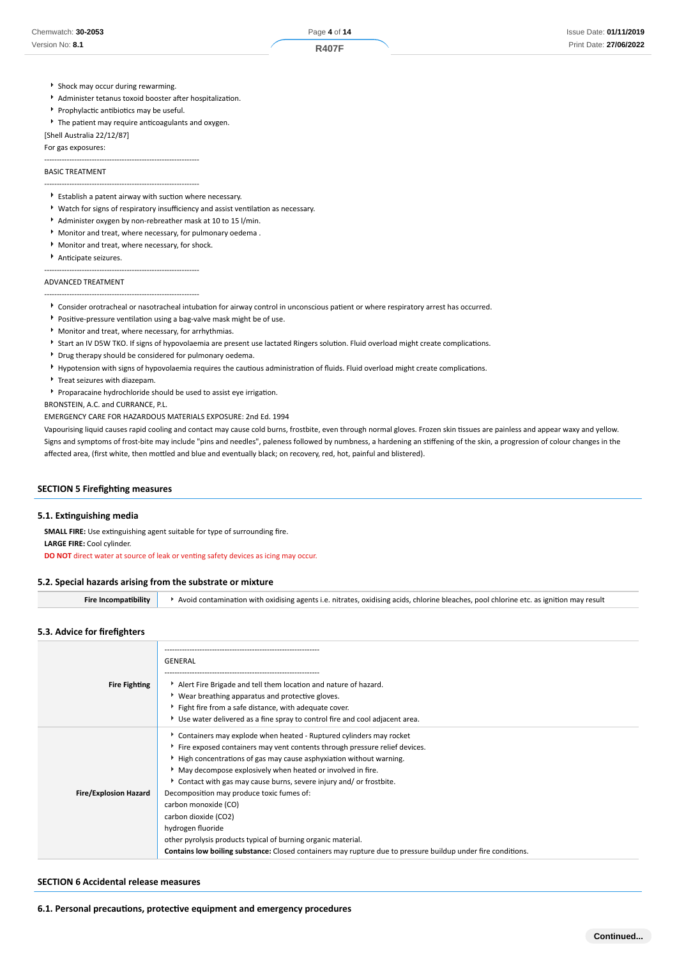- **F** Shock may occur during rewarming.
- Administer tetanus toxoid booster after hospitalization.
- **Prophylactic antibiotics may be useful.**
- The patient may require anticoagulants and oxygen.
- [Shell Australia 22/12/87]

For gas exposures: --------------------------------------------------------------

## BASIC TREATMENT

- --------------------------------------------------------------  $\blacktriangleright$  Establish a patent airway with suction where necessary.
- Watch for signs of respiratory insufficiency and assist ventilation as necessary.
- Administer oxygen by non-rebreather mask at 10 to 15 l/min.
- Monitor and treat, where necessary, for pulmonary oedema .
- Monitor and treat, where necessary, for shock.

--------------------------------------------------------------

Anticipate seizures.

## ADVANCED TREATMENT

--------------------------------------------------------------

- Consider orotracheal or nasotracheal intubation for airway control in unconscious patient or where respiratory arrest has occurred.
- Positive-pressure ventilation using a bag-valve mask might be of use.
- Monitor and treat, where necessary, for arrhythmias.
- Start an IV D5W TKO. If signs of hypovolaemia are present use lactated Ringers solution. Fluid overload might create complications.
- Drug therapy should be considered for pulmonary oedema.
- Hypotension with signs of hypovolaemia requires the cautious administration of fluids. Fluid overload might create complications.
- Treat seizures with diazepam.
- Proparacaine hydrochloride should be used to assist eye irrigation.

BRONSTEIN, A.C. and CURRANCE, P.L.

EMERGENCY CARE FOR HAZARDOUS MATERIALS EXPOSURE: 2nd Ed. 1994

Vapourising liquid causes rapid cooling and contact may cause cold burns, frostbite, even through normal gloves. Frozen skin tissues are painless and appear waxy and yellow. Signs and symptoms of frost-bite may include "pins and needles", paleness followed by numbness, a hardening an stiffening of the skin, a progression of colour changes in the affected area, (first white, then mottled and blue and eventually black; on recovery, red, hot, painful and blistered).

## **SECTION 5 Firefighting measures**

#### **5.1. Extinguishing media**

**SMALL FIRE:** Use extinguishing agent suitable for type of surrounding fire.

**LARGE FIRE:** Cool cylinder.

**DO NOT** direct water at source of leak or venting safety devices as icing may occur.

#### **5.2. Special hazards arising from the substrate or mixture**

**Fire Incompatibility Avoid contamination with oxidising agents i.e. nitrates, oxidising acids, chlorine bleaches, pool chlorine etc. as ignition may result** 

## **5.3. Advice for firefighters**

|                              | GENERAL                                                                                                      |
|------------------------------|--------------------------------------------------------------------------------------------------------------|
| <b>Fire Fighting</b>         | Alert Fire Brigade and tell them location and nature of hazard.                                              |
|                              | ▶ Wear breathing apparatus and protective gloves.<br>Fight fire from a safe distance, with adequate cover.   |
|                              | ► Use water delivered as a fine spray to control fire and cool adjacent area.                                |
|                              |                                                                                                              |
|                              | ► Containers may explode when heated - Ruptured cylinders may rocket                                         |
|                              | Fire exposed containers may vent contents through pressure relief devices.                                   |
|                              | High concentrations of gas may cause asphyxiation without warning.                                           |
|                              | • May decompose explosively when heated or involved in fire.                                                 |
|                              | Contact with gas may cause burns, severe injury and/ or frostbite.                                           |
| <b>Fire/Explosion Hazard</b> | Decomposition may produce toxic fumes of:                                                                    |
|                              | carbon monoxide (CO)                                                                                         |
|                              | carbon dioxide (CO2)                                                                                         |
|                              | hydrogen fluoride                                                                                            |
|                              | other pyrolysis products typical of burning organic material.                                                |
|                              | Contains low boiling substance: Closed containers may rupture due to pressure buildup under fire conditions. |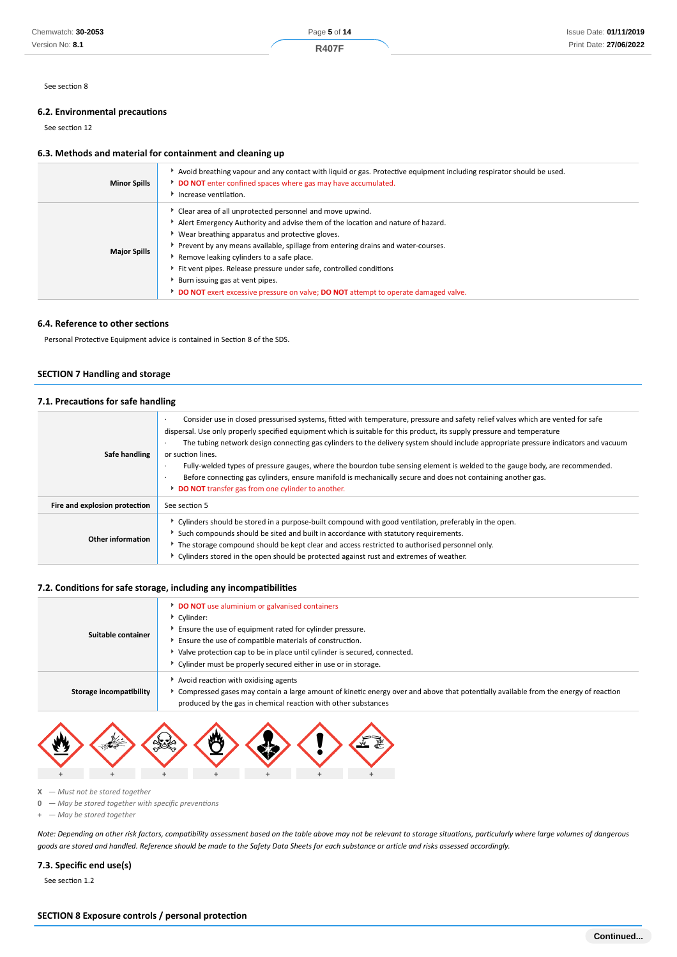See section 8

## **6.2. Environmental precautions**

See section 12

## **6.3. Methods and material for containment and cleaning up**

| <b>Minor Spills</b> | Avoid breathing vapour and any contact with liquid or gas. Protective equipment including respirator should be used.<br>DO NOT enter confined spaces where gas may have accumulated.<br>Increase ventilation.                                                                                                                                                                                                                                                                                                                                  |
|---------------------|------------------------------------------------------------------------------------------------------------------------------------------------------------------------------------------------------------------------------------------------------------------------------------------------------------------------------------------------------------------------------------------------------------------------------------------------------------------------------------------------------------------------------------------------|
| <b>Major Spills</b> | Clear area of all unprotected personnel and move upwind.<br>Alert Emergency Authority and advise them of the location and nature of hazard.<br>▶ Wear breathing apparatus and protective gloves.<br>Prevent by any means available, spillage from entering drains and water-courses.<br>Remove leaking cylinders to a safe place.<br>Fit vent pipes. Release pressure under safe, controlled conditions<br>Burn issuing gas at vent pipes.<br><b>DO NOT</b> exert excessive pressure on valve; <b>DO NOT</b> attempt to operate damaged valve. |

#### **6.4. Reference to other sections**

Personal Protective Equipment advice is contained in Section 8 of the SDS.

## **SECTION 7 Handling and storage**

#### **7.1. Precautions for safe handling**

| Safe handling                 | Consider use in closed pressurised systems, fitted with temperature, pressure and safety relief valves which are vented for safe<br>dispersal. Use only properly specified equipment which is suitable for this product, its supply pressure and temperature<br>The tubing network design connecting gas cylinders to the delivery system should include appropriate pressure indicators and vacuum<br>or suction lines.<br>Fully-welded types of pressure gauges, where the bourdon tube sensing element is welded to the gauge body, are recommended.<br>$\cdot$<br>Before connecting gas cylinders, ensure manifold is mechanically secure and does not containing another gas.<br>DO NOT transfer gas from one cylinder to another. |
|-------------------------------|-----------------------------------------------------------------------------------------------------------------------------------------------------------------------------------------------------------------------------------------------------------------------------------------------------------------------------------------------------------------------------------------------------------------------------------------------------------------------------------------------------------------------------------------------------------------------------------------------------------------------------------------------------------------------------------------------------------------------------------------|
| Fire and explosion protection | See section 5                                                                                                                                                                                                                                                                                                                                                                                                                                                                                                                                                                                                                                                                                                                           |
| Other information             | • Cylinders should be stored in a purpose-built compound with good ventilation, preferably in the open.<br>Such compounds should be sited and built in accordance with statutory requirements.<br>The storage compound should be kept clear and access restricted to authorised personnel only.<br>▶ Cylinders stored in the open should be protected against rust and extremes of weather.                                                                                                                                                                                                                                                                                                                                             |

## **7.2. Conditions for safe storage, including any incompatibilities**

| Suitable container      | <b>DO NOT</b> use aluminium or galvanised containers<br>Cylinder:<br>Ensure the use of equipment rated for cylinder pressure.<br>Ensure the use of compatible materials of construction.<br>▶ Valve protection cap to be in place until cylinder is secured, connected.<br>Cylinder must be properly secured either in use or in storage. |
|-------------------------|-------------------------------------------------------------------------------------------------------------------------------------------------------------------------------------------------------------------------------------------------------------------------------------------------------------------------------------------|
| Storage incompatibility | Avoid reaction with oxidising agents<br>Compressed gases may contain a large amount of kinetic energy over and above that potentially available from the energy of reaction<br>produced by the gas in chemical reaction with other substances                                                                                             |



- **X**  *Must not be stored together*
- **0**  *May be stored together with specific preventions*
- **+**  *May be stored together*

*Note: Depending on other risk factors, compatibility assessment based on the table above may not be relevant to storage situations, particularly where large volumes of dangerous goods are stored and handled. Reference should be made to the Safety Data Sheets for each substance or article and risks assessed accordingly.*

## **7.3. Specific end use(s)**

See section 1.2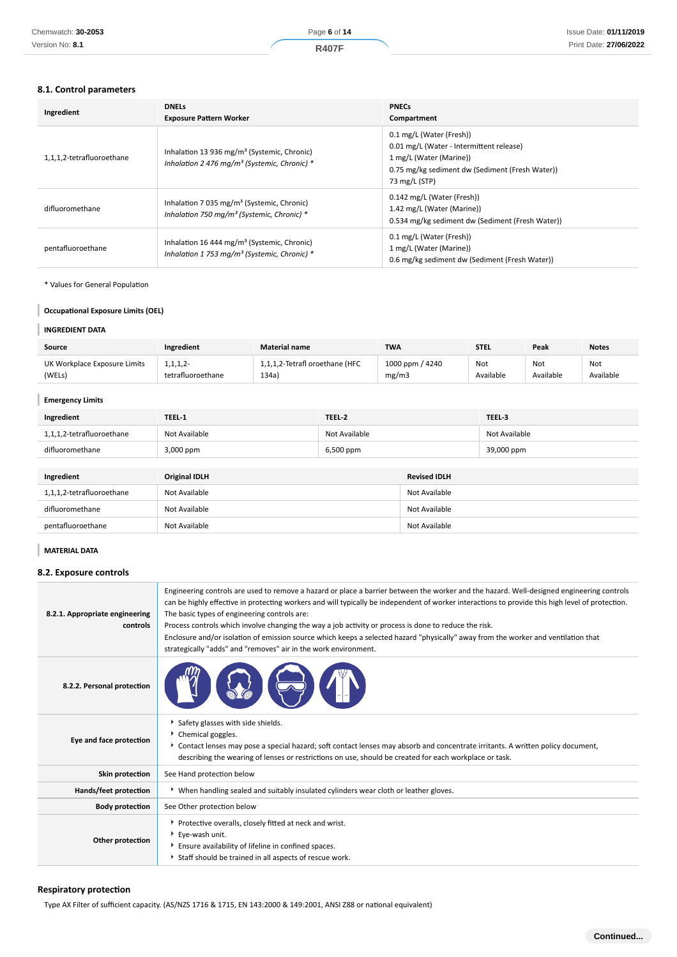## **8.1. Control parameters**

| Ingredient                | <b>DNELS</b><br><b>Exposure Pattern Worker</b>                                                                      | <b>PNECs</b><br>Compartment                                                                                                                                         |
|---------------------------|---------------------------------------------------------------------------------------------------------------------|---------------------------------------------------------------------------------------------------------------------------------------------------------------------|
| 1,1,1,2-tetrafluoroethane | Inhalation 13 936 mg/m <sup>3</sup> (Systemic, Chronic)<br>Inhalation 2 476 mg/m <sup>3</sup> (Systemic, Chronic) * | 0.1 mg/L (Water (Fresh))<br>0.01 mg/L (Water - Intermittent release)<br>1 mg/L (Water (Marine))<br>0.75 mg/kg sediment dw (Sediment (Fresh Water))<br>73 mg/L (STP) |
| difluoromethane           | Inhalation 7 035 mg/m <sup>3</sup> (Systemic, Chronic)<br>Inhalation 750 mg/m <sup>3</sup> (Systemic, Chronic) *    | 0.142 mg/L (Water (Fresh))<br>1.42 mg/L (Water (Marine))<br>0.534 mg/kg sediment dw (Sediment (Fresh Water))                                                        |
| pentafluoroethane         | Inhalation 16 444 mg/m <sup>3</sup> (Systemic, Chronic)<br>Inhalation 1 753 mg/m <sup>3</sup> (Systemic, Chronic) * | 0.1 mg/L (Water (Fresh))<br>1 mg/L (Water (Marine))<br>0.6 mg/kg sediment dw (Sediment (Fresh Water))                                                               |

\* Values for General Population

## **Occupational Exposure Limits (OEL)**

## **INGREDIENT DATA**

ı I

| Source                       | Ingredient        | <b>Material name</b>           | <b>TWA</b>      | <b>STEL</b> | Peak      | <b>Notes</b> |
|------------------------------|-------------------|--------------------------------|-----------------|-------------|-----------|--------------|
| UK Workplace Exposure Limits | 1,1,1,2-          | 1,1,1,2-Tetrafl oroethane (HFC | 1000 ppm / 4240 | Not         | Not       | Not          |
| (WELs)                       | tetrafluoroethane | 134a                           | mg/m3           | Available   | Available | Available    |

| <b>Emergency Limits</b>   |                      |               |                     |               |
|---------------------------|----------------------|---------------|---------------------|---------------|
| Ingredient                | TEEL-1               | TEEL-2        |                     | TEEL-3        |
| 1,1,1,2-tetrafluoroethane | Not Available        | Not Available |                     | Not Available |
| difluoromethane           | 3,000 ppm            | 6,500 ppm     |                     | 39,000 ppm    |
|                           |                      |               |                     |               |
| Ingredient                | <b>Original IDLH</b> |               | <b>Revised IDLH</b> |               |
| 1,1,1,2-tetrafluoroethane | Not Available        |               | Not Available       |               |
| difluoromethane           | Not Available        |               | Not Available       |               |
| pentafluoroethane         | Not Available        |               | Not Available       |               |

## **MATERIAL DATA**

## **8.2. Exposure controls**

| 8.2.1. Appropriate engineering<br>controls | Engineering controls are used to remove a hazard or place a barrier between the worker and the hazard. Well-designed engineering controls<br>can be highly effective in protecting workers and will typically be independent of worker interactions to provide this high level of protection.<br>The basic types of engineering controls are:<br>Process controls which involve changing the way a job activity or process is done to reduce the risk.<br>Enclosure and/or isolation of emission source which keeps a selected hazard "physically" away from the worker and ventilation that<br>strategically "adds" and "removes" air in the work environment. |
|--------------------------------------------|-----------------------------------------------------------------------------------------------------------------------------------------------------------------------------------------------------------------------------------------------------------------------------------------------------------------------------------------------------------------------------------------------------------------------------------------------------------------------------------------------------------------------------------------------------------------------------------------------------------------------------------------------------------------|
| 8.2.2. Personal protection                 |                                                                                                                                                                                                                                                                                                                                                                                                                                                                                                                                                                                                                                                                 |
| Eye and face protection                    | Safety glasses with side shields.<br>Þ.<br>• Chemical goggles.<br>▶ Contact lenses may pose a special hazard; soft contact lenses may absorb and concentrate irritants. A written policy document,<br>describing the wearing of lenses or restrictions on use, should be created for each workplace or task.                                                                                                                                                                                                                                                                                                                                                    |
| Skin protection                            | See Hand protection below                                                                                                                                                                                                                                                                                                                                                                                                                                                                                                                                                                                                                                       |
| Hands/feet protection                      | ▶ When handling sealed and suitably insulated cylinders wear cloth or leather gloves.                                                                                                                                                                                                                                                                                                                                                                                                                                                                                                                                                                           |
| <b>Body protection</b>                     | See Other protection below                                                                                                                                                                                                                                                                                                                                                                                                                                                                                                                                                                                                                                      |
| Other protection                           | Protective overalls, closely fitted at neck and wrist.<br>Eye-wash unit.<br>Ensure availability of lifeline in confined spaces.<br>Staff should be trained in all aspects of rescue work.                                                                                                                                                                                                                                                                                                                                                                                                                                                                       |

## **Respiratory protection**

Type AX Filter of sufficient capacity. (AS/NZS 1716 & 1715, EN 143:2000 & 149:2001, ANSI Z88 or national equivalent)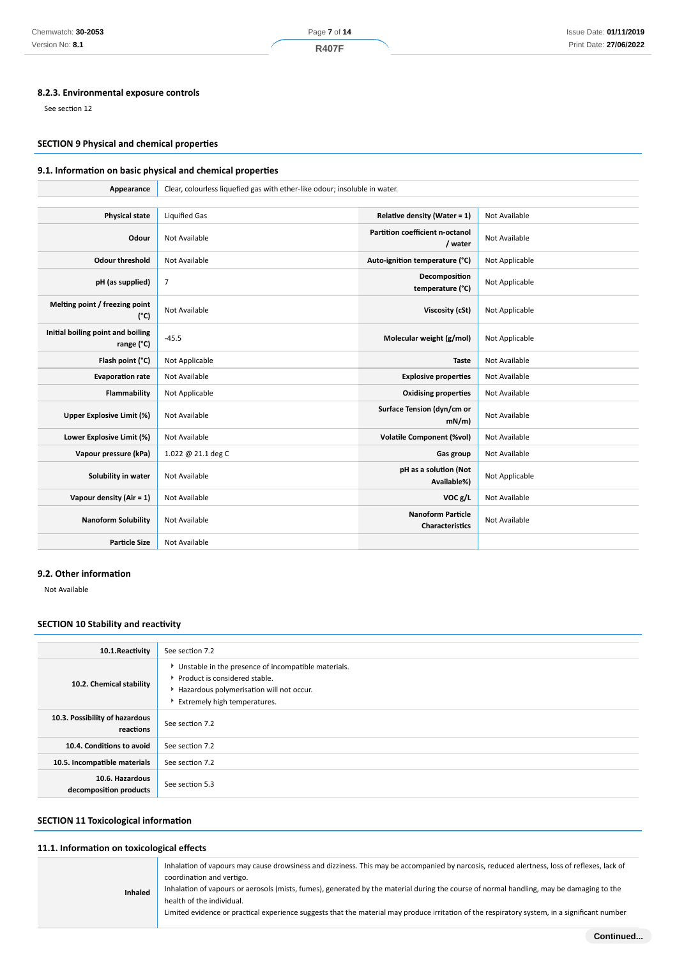## **8.2.3. Environmental exposure controls**

See section 12

## **SECTION 9 Physical and chemical properties**

## **9.1. Information on basic physical and chemical properties**

| Appearance                                      | Clear, colourless liquefied gas with ether-like odour; insoluble in water. |                                                   |                |
|-------------------------------------------------|----------------------------------------------------------------------------|---------------------------------------------------|----------------|
|                                                 |                                                                            |                                                   |                |
| <b>Physical state</b>                           | <b>Liquified Gas</b>                                                       | <b>Relative density (Water = 1)</b>               | Not Available  |
| Odour                                           | Not Available                                                              | <b>Partition coefficient n-octanol</b><br>/ water | Not Available  |
| <b>Odour threshold</b>                          | Not Available                                                              | Auto-ignition temperature (°C)                    | Not Applicable |
| pH (as supplied)                                | 7                                                                          | Decomposition<br>temperature (°C)                 | Not Applicable |
| Melting point / freezing point<br>$(^{\circ}C)$ | Not Available                                                              | Viscosity (cSt)                                   | Not Applicable |
| Initial boiling point and boiling<br>range (°C) | $-45.5$                                                                    | Molecular weight (g/mol)                          | Not Applicable |
| Flash point (°C)                                | Not Applicable                                                             | <b>Taste</b>                                      | Not Available  |
| <b>Evaporation rate</b>                         | Not Available                                                              | <b>Explosive properties</b>                       | Not Available  |
| Flammability                                    | Not Applicable                                                             | <b>Oxidising properties</b>                       | Not Available  |
| <b>Upper Explosive Limit (%)</b>                | Not Available                                                              | Surface Tension (dyn/cm or<br>mN/m                | Not Available  |
| Lower Explosive Limit (%)                       | Not Available                                                              | <b>Volatile Component (%vol)</b>                  | Not Available  |
| Vapour pressure (kPa)                           | 1.022 @ 21.1 deg C                                                         | Gas group                                         | Not Available  |
| Solubility in water                             | Not Available                                                              | pH as a solution (Not<br>Available%)              | Not Applicable |
| Vapour density (Air = 1)                        | Not Available                                                              | VOC g/L                                           | Not Available  |
| <b>Nanoform Solubility</b>                      | Not Available                                                              | <b>Nanoform Particle</b><br>Characteristics       | Not Available  |
| <b>Particle Size</b>                            | Not Available                                                              |                                                   |                |

#### **9.2. Other information**

Not Available

## **SECTION 10 Stability and reactivity**

| 10.1.Reactivity                             | See section 7.2                                                                                                                                                  |
|---------------------------------------------|------------------------------------------------------------------------------------------------------------------------------------------------------------------|
| 10.2. Chemical stability                    | Unstable in the presence of incompatible materials.<br>Product is considered stable.<br>Hazardous polymerisation will not occur.<br>Extremely high temperatures. |
| 10.3. Possibility of hazardous<br>reactions | See section 7.2                                                                                                                                                  |
| 10.4. Conditions to avoid                   | See section 7.2                                                                                                                                                  |
| 10.5. Incompatible materials                | See section 7.2                                                                                                                                                  |
| 10.6. Hazardous<br>decomposition products   | See section 5.3                                                                                                                                                  |

# **SECTION 11 Toxicological information**

#### **11.1. Information on toxicological effects**

| <b>Inhaled</b> | Inhalation of vapours may cause drowsiness and dizziness. This may be accompanied by narcosis, reduced alertness, loss of reflexes, lack of<br>coordination and vertigo.<br>Inhalation of vapours or aerosols (mists, fumes), generated by the material during the course of normal handling, may be damaging to the<br>health of the individual.<br>Limited evidence or practical experience suggests that the material may produce irritation of the respiratory system, in a significant number |
|----------------|----------------------------------------------------------------------------------------------------------------------------------------------------------------------------------------------------------------------------------------------------------------------------------------------------------------------------------------------------------------------------------------------------------------------------------------------------------------------------------------------------|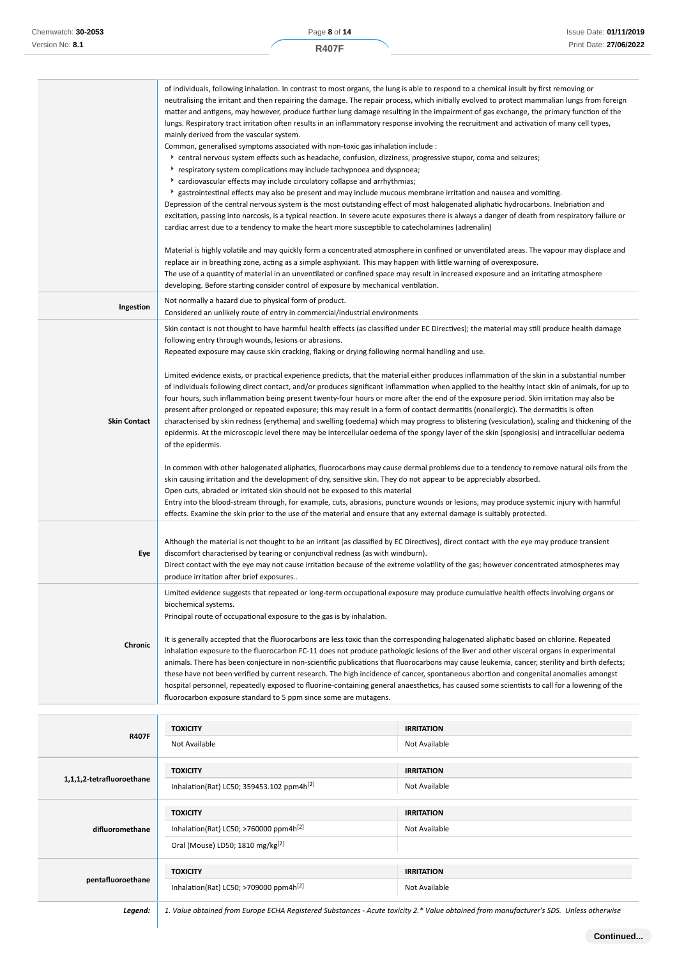|                                                                                                                                              | of individuals, following inhalation. In contrast to most organs, the lung is able to respond to a chemical insult by first removing or                                                                                                                                                |                   |  |
|----------------------------------------------------------------------------------------------------------------------------------------------|----------------------------------------------------------------------------------------------------------------------------------------------------------------------------------------------------------------------------------------------------------------------------------------|-------------------|--|
|                                                                                                                                              | neutralising the irritant and then repairing the damage. The repair process, which initially evolved to protect mammalian lungs from foreign<br>matter and antigens, may however, produce further lung damage resulting in the impairment of gas exchange, the primary function of the |                   |  |
|                                                                                                                                              | lungs. Respiratory tract irritation often results in an inflammatory response involving the recruitment and activation of many cell types,                                                                                                                                             |                   |  |
|                                                                                                                                              | mainly derived from the vascular system.                                                                                                                                                                                                                                               |                   |  |
|                                                                                                                                              | Common, generalised symptoms associated with non-toxic gas inhalation include :                                                                                                                                                                                                        |                   |  |
|                                                                                                                                              | * central nervous system effects such as headache, confusion, dizziness, progressive stupor, coma and seizures;                                                                                                                                                                        |                   |  |
|                                                                                                                                              | respiratory system complications may include tachypnoea and dyspnoea;<br>cardiovascular effects may include circulatory collapse and arrhythmias;<br>▶ gastrointestinal effects may also be present and may include mucous membrane irritation and nausea and vomiting.                |                   |  |
|                                                                                                                                              |                                                                                                                                                                                                                                                                                        |                   |  |
|                                                                                                                                              | Depression of the central nervous system is the most outstanding effect of most halogenated aliphatic hydrocarbons. Inebriation and                                                                                                                                                    |                   |  |
|                                                                                                                                              | excitation, passing into narcosis, is a typical reaction. In severe acute exposures there is always a danger of death from respiratory failure or                                                                                                                                      |                   |  |
|                                                                                                                                              | cardiac arrest due to a tendency to make the heart more susceptible to catecholamines (adrenalin)                                                                                                                                                                                      |                   |  |
|                                                                                                                                              | Material is highly volatile and may quickly form a concentrated atmosphere in confined or unventilated areas. The vapour may displace and                                                                                                                                              |                   |  |
|                                                                                                                                              | replace air in breathing zone, acting as a simple asphyxiant. This may happen with little warning of overexposure.                                                                                                                                                                     |                   |  |
|                                                                                                                                              | The use of a quantity of material in an unventilated or confined space may result in increased exposure and an irritating atmosphere                                                                                                                                                   |                   |  |
|                                                                                                                                              | developing. Before starting consider control of exposure by mechanical ventilation.                                                                                                                                                                                                    |                   |  |
| Ingestion                                                                                                                                    | Not normally a hazard due to physical form of product.                                                                                                                                                                                                                                 |                   |  |
|                                                                                                                                              | Considered an unlikely route of entry in commercial/industrial environments                                                                                                                                                                                                            |                   |  |
|                                                                                                                                              | Skin contact is not thought to have harmful health effects (as classified under EC Directives); the material may still produce health damage                                                                                                                                           |                   |  |
|                                                                                                                                              | following entry through wounds, lesions or abrasions.                                                                                                                                                                                                                                  |                   |  |
|                                                                                                                                              | Repeated exposure may cause skin cracking, flaking or drying following normal handling and use.                                                                                                                                                                                        |                   |  |
|                                                                                                                                              | Limited evidence exists, or practical experience predicts, that the material either produces inflammation of the skin in a substantial number                                                                                                                                          |                   |  |
|                                                                                                                                              | of individuals following direct contact, and/or produces significant inflammation when applied to the healthy intact skin of animals, for up to                                                                                                                                        |                   |  |
|                                                                                                                                              | four hours, such inflammation being present twenty-four hours or more after the end of the exposure period. Skin irritation may also be                                                                                                                                                |                   |  |
|                                                                                                                                              | present after prolonged or repeated exposure; this may result in a form of contact dermatitis (nonallergic). The dermatitis is often                                                                                                                                                   |                   |  |
| <b>Skin Contact</b>                                                                                                                          | characterised by skin redness (erythema) and swelling (oedema) which may progress to blistering (vesiculation), scaling and thickening of the                                                                                                                                          |                   |  |
|                                                                                                                                              | epidermis. At the microscopic level there may be intercellular oedema of the spongy layer of the skin (spongiosis) and intracellular oedema                                                                                                                                            |                   |  |
|                                                                                                                                              | of the epidermis.                                                                                                                                                                                                                                                                      |                   |  |
|                                                                                                                                              | In common with other halogenated aliphatics, fluorocarbons may cause dermal problems due to a tendency to remove natural oils from the                                                                                                                                                 |                   |  |
|                                                                                                                                              | skin causing irritation and the development of dry, sensitive skin. They do not appear to be appreciably absorbed.                                                                                                                                                                     |                   |  |
|                                                                                                                                              | Open cuts, abraded or irritated skin should not be exposed to this material                                                                                                                                                                                                            |                   |  |
|                                                                                                                                              | Entry into the blood-stream through, for example, cuts, abrasions, puncture wounds or lesions, may produce systemic injury with harmful<br>effects. Examine the skin prior to the use of the material and ensure that any external damage is suitably protected.                       |                   |  |
|                                                                                                                                              |                                                                                                                                                                                                                                                                                        |                   |  |
|                                                                                                                                              | Although the material is not thought to be an irritant (as classified by EC Directives), direct contact with the eye may produce transient                                                                                                                                             |                   |  |
| Eye                                                                                                                                          | discomfort characterised by tearing or conjunctival redness (as with windburn).                                                                                                                                                                                                        |                   |  |
|                                                                                                                                              | Direct contact with the eye may not cause irritation because of the extreme volatility of the gas; however concentrated atmospheres may                                                                                                                                                |                   |  |
|                                                                                                                                              | produce irritation after brief exposures                                                                                                                                                                                                                                               |                   |  |
|                                                                                                                                              | Limited evidence suggests that repeated or long-term occupational exposure may produce cumulative health effects involving organs or                                                                                                                                                   |                   |  |
|                                                                                                                                              | biochemical systems.                                                                                                                                                                                                                                                                   |                   |  |
|                                                                                                                                              | Principal route of occupational exposure to the gas is by inhalation.                                                                                                                                                                                                                  |                   |  |
|                                                                                                                                              | It is generally accepted that the fluorocarbons are less toxic than the corresponding halogenated aliphatic based on chlorine. Repeated                                                                                                                                                |                   |  |
| Chronic                                                                                                                                      | inhalation exposure to the fluorocarbon FC-11 does not produce pathologic lesions of the liver and other visceral organs in experimental                                                                                                                                               |                   |  |
|                                                                                                                                              | animals. There has been conjecture in non-scientific publications that fluorocarbons may cause leukemia, cancer, sterility and birth defects;                                                                                                                                          |                   |  |
|                                                                                                                                              | these have not been verified by current research. The high incidence of cancer, spontaneous abortion and congenital anomalies amongst                                                                                                                                                  |                   |  |
| hospital personnel, repeatedly exposed to fluorine-containing general anaesthetics, has caused some scientists to call for a lowering of the |                                                                                                                                                                                                                                                                                        |                   |  |
|                                                                                                                                              | fluorocarbon exposure standard to 5 ppm since some are mutagens.                                                                                                                                                                                                                       |                   |  |
|                                                                                                                                              |                                                                                                                                                                                                                                                                                        |                   |  |
| <b>R407F</b>                                                                                                                                 | <b>TOXICITY</b>                                                                                                                                                                                                                                                                        | <b>IRRITATION</b> |  |
|                                                                                                                                              | Not Available                                                                                                                                                                                                                                                                          | Not Available     |  |

| 1,1,1,2-tetrafluoroethane | <b>TOXICITY</b>                                       | <b>IRRITATION</b> |
|---------------------------|-------------------------------------------------------|-------------------|
|                           | Inhalation(Rat) LC50; 359453.102 ppm4h <sup>[2]</sup> | Not Available     |
|                           | <b>TOXICITY</b>                                       | <b>IRRITATION</b> |
| difluoromethane           | Inhalation(Rat) LC50; >760000 ppm4h <sup>[2]</sup>    | Not Available     |
|                           |                                                       |                   |
|                           | Oral (Mouse) LD50; 1810 mg/kg <sup>[2]</sup>          |                   |
|                           | <b>TOXICITY</b>                                       | <b>IRRITATION</b> |
| pentafluoroethane         |                                                       |                   |
|                           | Inhalation(Rat) LC50; >709000 ppm4h <sup>[2]</sup>    | Not Available     |
|                           |                                                       |                   |

*Legend: 1. Value obtained from Europe ECHA Registered Substances - Acute toxicity 2.\* Value obtained from manufacturer's SDS. Unless otherwise*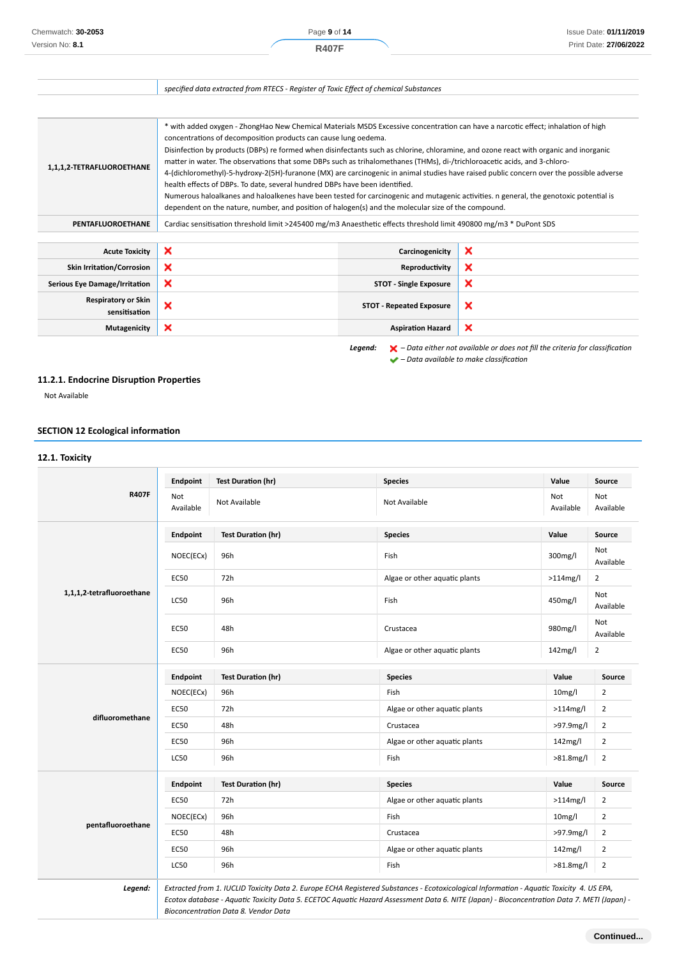|                                             | specified data extracted from RTECS - Register of Toxic Effect of chemical Substances                                                                                                                                                                                                                                                                                                                                                                                                                                                                                                                                                                                                                                                                                                                                                                                                                                                                  |                                 |                           |
|---------------------------------------------|--------------------------------------------------------------------------------------------------------------------------------------------------------------------------------------------------------------------------------------------------------------------------------------------------------------------------------------------------------------------------------------------------------------------------------------------------------------------------------------------------------------------------------------------------------------------------------------------------------------------------------------------------------------------------------------------------------------------------------------------------------------------------------------------------------------------------------------------------------------------------------------------------------------------------------------------------------|---------------------------------|---------------------------|
|                                             |                                                                                                                                                                                                                                                                                                                                                                                                                                                                                                                                                                                                                                                                                                                                                                                                                                                                                                                                                        |                                 |                           |
| 1,1,1,2-TETRAFLUOROETHANE                   | * with added oxygen - ZhongHao New Chemical Materials MSDS Excessive concentration can have a narcotic effect; inhalation of high<br>concentrations of decomposition products can cause lung oedema.<br>Disinfection by products (DBPs) re formed when disinfectants such as chlorine, chloramine, and ozone react with organic and inorganic<br>matter in water. The observations that some DBPs such as trihalomethanes (THMs), di-/trichloroacetic acids, and 3-chloro-<br>4-(dichloromethyl)-5-hydroxy-2(5H)-furanone (MX) are carcinogenic in animal studies have raised public concern over the possible adverse<br>health effects of DBPs. To date, several hundred DBPs have been identified.<br>Numerous haloalkanes and haloalkenes have been tested for carcinogenic and mutagenic activities. n general, the genotoxic potential is<br>dependent on the nature, number, and position of halogen(s) and the molecular size of the compound. |                                 |                           |
| <b>PENTAFLUOROETHANE</b>                    | Cardiac sensitisation threshold limit >245400 mg/m3 Anaesthetic effects threshold limit 490800 mg/m3 * DuPont SDS                                                                                                                                                                                                                                                                                                                                                                                                                                                                                                                                                                                                                                                                                                                                                                                                                                      |                                 |                           |
| <b>Acute Toxicity</b>                       | $\boldsymbol{\mathsf{x}}$                                                                                                                                                                                                                                                                                                                                                                                                                                                                                                                                                                                                                                                                                                                                                                                                                                                                                                                              | Carcinogenicity                 | $\boldsymbol{\mathsf{x}}$ |
| <b>Skin Irritation/Corrosion</b>            | ×                                                                                                                                                                                                                                                                                                                                                                                                                                                                                                                                                                                                                                                                                                                                                                                                                                                                                                                                                      | Reproductivity                  | ×                         |
| <b>Serious Eye Damage/Irritation</b>        | ×                                                                                                                                                                                                                                                                                                                                                                                                                                                                                                                                                                                                                                                                                                                                                                                                                                                                                                                                                      | <b>STOT - Single Exposure</b>   | ×                         |
| <b>Respiratory or Skin</b><br>sensitisation | ×                                                                                                                                                                                                                                                                                                                                                                                                                                                                                                                                                                                                                                                                                                                                                                                                                                                                                                                                                      | <b>STOT - Repeated Exposure</b> | ×                         |
| Mutagenicity                                | ×                                                                                                                                                                                                                                                                                                                                                                                                                                                                                                                                                                                                                                                                                                                                                                                                                                                                                                                                                      | <b>Aspiration Hazard</b>        | ×                         |

*Legend: – Data either not available or does not fill the criteria for classification*

 *– Data available to make classification*

## **11.2.1. Endocrine Disruption Properties**

Not Available

## **SECTION 12 Ecological information**

## **12.1. Toxicity R407F Endpoint Test Duration (hr) Species Value Source** Not Available Not Available Not Available Not Available Not Available **1,1,1,2-tetrafluoroethane Endpoint Test Duration (hr) Species Value Source** NOEC(ECx) 96h Noted and the set of the set of the set of the set of the set of the set of the set of the set of the set of the set of the set of the set of the set of the set of the set of the set of the set of the set of Available EC50 72h Algae or other aquatic plants >114mg/l 2 LC50 96h Fish 450mg/l Not Available ecso and the set of the crustacea of the set of the set of the set of the set of the set of the set of the set of the set of the set of the set of the set of the set of the set of the set of the set of the set of the set o Available EC50 96h Algae or other aquatic plants 142mg/l 2 **difluoromethane Endpoint Test Duration (hr) Species CONS Species Value Value Source** NOEC(ECx) 96h Fish 10mg/l 2 EC50 72h Algae or other aquatic plants >114mg/l 2 EC50 48h Crustacea Crustacea >97.9mg/l 2 EC50 96h Algae or other aquatic plants 142mg/l 2  $LCS0$  96h S81.8mg/l 2 **pentafluoroethane Endpoint Test Duration (hr) Species Value Source** EC50 72h Algae or other aquatic plants >114mg/l 2 NOEC(ECx) 96h Fish Fish 10mg/l 2 EC50 48h Crustacea Crustacea >97.9mg/l 2 EC50 96h Algae or other aquatic plants 142mg/l 2 LC50 96h Fish >81.8mg/l 2 *Legend: Extracted from 1. IUCLID Toxicity Data 2. Europe ECHA Registered Substances - Ecotoxicological Information - Aquatic Toxicity 4. US EPA, Ecotox database - Aquatic Toxicity Data 5. ECETOC Aquatic Hazard Assessment Data 6. NITE (Japan) - Bioconcentration Data 7. METI (Japan) -*

*Bioconcentration Data 8. Vendor Data*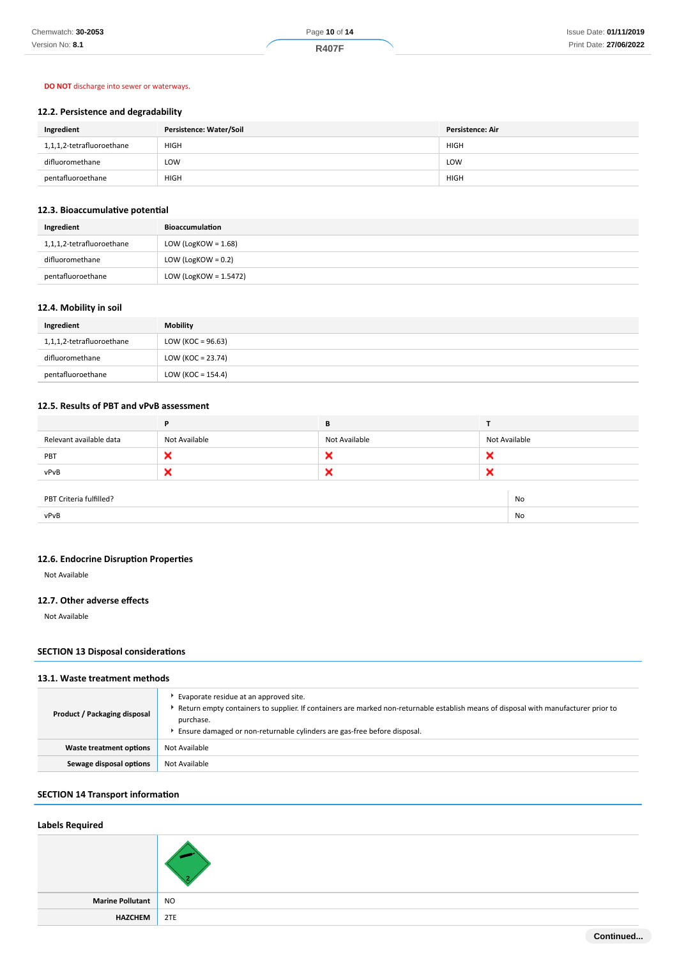## **DO NOT** discharge into sewer or waterways.

# **12.2. Persistence and degradability**

| Ingredient                | Persistence: Water/Soil | <b>Persistence: Air</b> |
|---------------------------|-------------------------|-------------------------|
| 1,1,1,2-tetrafluoroethane | <b>HIGH</b>             | <b>HIGH</b>             |
| difluoromethane           | LOW                     | LOW                     |
| pentafluoroethane         | <b>HIGH</b>             | <b>HIGH</b>             |

## **12.3. Bioaccumulative potential**

| Ingredient                | <b>Bioaccumulation</b> |  |
|---------------------------|------------------------|--|
| 1,1,1,2-tetrafluoroethane | LOW (LogKOW = $1.68$ ) |  |
| difluoromethane           | LOW (LogKOW = $0.2$ )  |  |
| pentafluoroethane         | LOW (LogKOW = 1.5472)  |  |

# **12.4. Mobility in soil**

| Ingredient                | <b>Mobility</b>      |
|---------------------------|----------------------|
| 1,1,1,2-tetrafluoroethane | LOW (KOC = $96.63$ ) |
| difluoromethane           | LOW (KOC = $23.74$ ) |
| pentafluoroethane         | LOW (KOC = $154.4$ ) |

# **12.5. Results of PBT and vPvB assessment**

|                               | P             | В             |               |
|-------------------------------|---------------|---------------|---------------|
| Relevant available data       | Not Available | Not Available | Not Available |
| PBT                           | ×             | ×             | ×             |
| vPvB                          | ×             | ×             | ×             |
|                               |               |               |               |
| PBT Criteria fulfilled?<br>No |               |               |               |
| vPvB                          |               |               | No            |

# **12.6. Endocrine Disruption Properties**

Not Available

# **12.7. Other adverse effects**

Not Available

# **SECTION 13 Disposal considerations**

# **13.1. Waste treatment methods**

| Product / Packaging disposal | Evaporate residue at an approved site.<br>Return empty containers to supplier. If containers are marked non-returnable establish means of disposal with manufacturer prior to<br>purchase.<br>Ensure damaged or non-returnable cylinders are gas-free before disposal. |  |
|------------------------------|------------------------------------------------------------------------------------------------------------------------------------------------------------------------------------------------------------------------------------------------------------------------|--|
| Waste treatment options      | Not Available                                                                                                                                                                                                                                                          |  |
| Sewage disposal options      | Not Available                                                                                                                                                                                                                                                          |  |

# **SECTION 14 Transport information**

## **Labels Required**

| Marine Pollutant NO |  |
|---------------------|--|
| HAZCHEM 2TE         |  |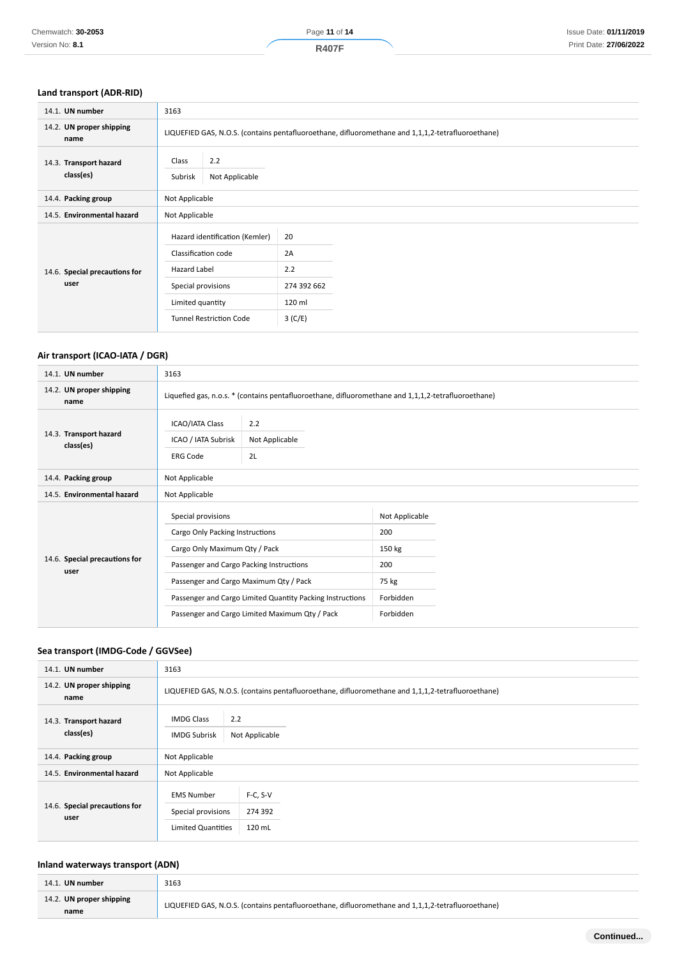| 14.1. UN number                       | 3163                                                  |                                                                                                   |  |
|---------------------------------------|-------------------------------------------------------|---------------------------------------------------------------------------------------------------|--|
| 14.2. UN proper shipping<br>name      |                                                       | LIQUEFIED GAS, N.O.S. (contains pentafluoroethane, difluoromethane and 1,1,1,2-tetrafluoroethane) |  |
| 14.3. Transport hazard<br>class(es)   | Class<br>2.2<br>Not Applicable<br>Subrisk             |                                                                                                   |  |
| 14.4. Packing group                   | Not Applicable                                        |                                                                                                   |  |
| 14.5. Environmental hazard            | Not Applicable                                        |                                                                                                   |  |
|                                       | Hazard identification (Kemler)<br>Classification code | 20<br>2A                                                                                          |  |
| 14.6. Special precautions for<br>user | <b>Hazard Label</b><br>Special provisions             | 2.2<br>274 392 662                                                                                |  |
|                                       | Limited quantity                                      | 120 ml                                                                                            |  |
|                                       | <b>Tunnel Restriction Code</b>                        | 3(C/E)                                                                                            |  |

# **Air transport (ICAO-IATA / DGR)**

| 14.1. UN number                       | 3163                                                                                                                                                                                                                                                                                        |  |                                                                           |  |
|---------------------------------------|---------------------------------------------------------------------------------------------------------------------------------------------------------------------------------------------------------------------------------------------------------------------------------------------|--|---------------------------------------------------------------------------|--|
| 14.2. UN proper shipping<br>name      | Liquefied gas, n.o.s. * (contains pentafluoroethane, difluoromethane and 1,1,1,2-tetrafluoroethane)                                                                                                                                                                                         |  |                                                                           |  |
| 14.3. Transport hazard<br>class(es)   | <b>ICAO/IATA Class</b><br>2.2<br>ICAO / IATA Subrisk<br>Not Applicable<br>2L<br><b>ERG Code</b>                                                                                                                                                                                             |  |                                                                           |  |
| 14.4. Packing group                   | Not Applicable                                                                                                                                                                                                                                                                              |  |                                                                           |  |
| 14.5. Environmental hazard            | Not Applicable                                                                                                                                                                                                                                                                              |  |                                                                           |  |
| 14.6. Special precautions for<br>user | Special provisions<br>Cargo Only Packing Instructions<br>Cargo Only Maximum Qty / Pack<br>Passenger and Cargo Packing Instructions<br>Passenger and Cargo Maximum Qty / Pack<br>Passenger and Cargo Limited Quantity Packing Instructions<br>Passenger and Cargo Limited Maximum Qty / Pack |  | Not Applicable<br>200<br>150 kg<br>200<br>75 kg<br>Forbidden<br>Forbidden |  |

# **Sea transport (IMDG-Code / GGVSee)**

| 14.1. UN number                       | 3163                                                                                                    |  |  |
|---------------------------------------|---------------------------------------------------------------------------------------------------------|--|--|
| 14.2. UN proper shipping<br>name      | LIQUEFIED GAS, N.O.S. (contains pentafluoroethane, difluoromethane and 1,1,1,2-tetrafluoroethane)       |  |  |
| 14.3. Transport hazard<br>class(es)   | 2.2<br><b>IMDG Class</b><br>Not Applicable<br><b>IMDG Subrisk</b>                                       |  |  |
| 14.4. Packing group                   | Not Applicable                                                                                          |  |  |
| 14.5. Environmental hazard            | Not Applicable                                                                                          |  |  |
| 14.6. Special precautions for<br>user | $F-C, S-V$<br><b>EMS Number</b><br>Special provisions<br>274 392<br>120 mL<br><b>Limited Quantities</b> |  |  |

## **Inland waterways transport (ADN)**

| 14.1. UN number                  | 3163                                                                                              |
|----------------------------------|---------------------------------------------------------------------------------------------------|
| 14.2. UN proper shipping<br>name | LIQUEFIED GAS, N.O.S. (contains pentafluoroethane, difluoromethane and 1,1,1,2-tetrafluoroethane) |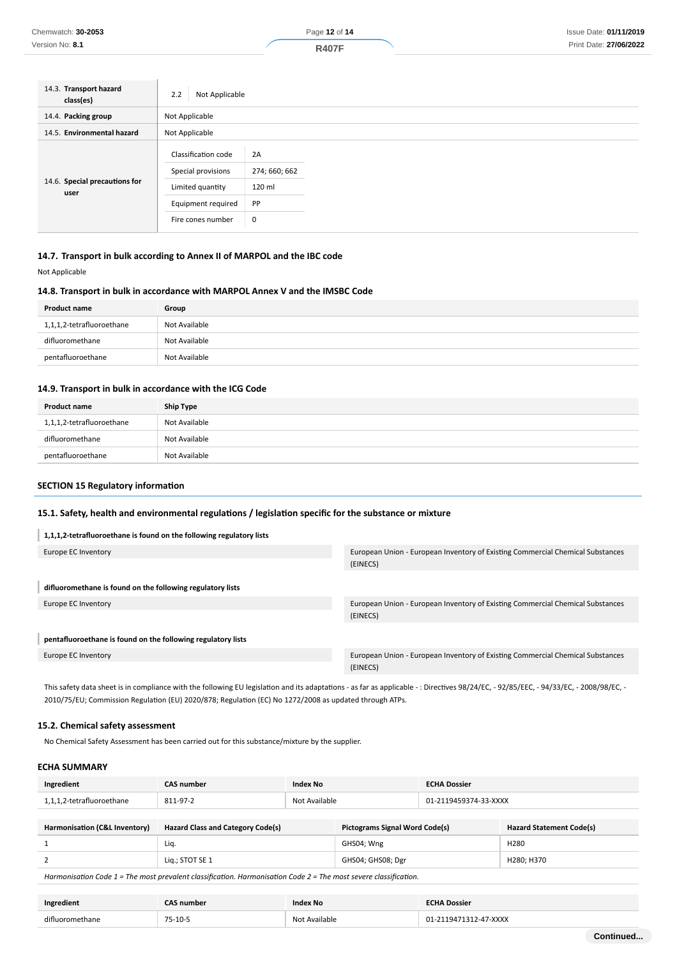| 14.3. Transport hazard<br>class(es)   | Not Applicable<br>2.2                                                                                    |                                          |  |
|---------------------------------------|----------------------------------------------------------------------------------------------------------|------------------------------------------|--|
| 14.4. Packing group                   | Not Applicable                                                                                           |                                          |  |
| 14.5. Environmental hazard            | Not Applicable                                                                                           |                                          |  |
| 14.6. Special precautions for<br>user | Classification code<br>Special provisions<br>Limited quantity<br>Equipment required<br>Fire cones number | 2A<br>274; 660; 662<br>120 ml<br>PP<br>0 |  |

# **14.7. Transport in bulk according to Annex II of MARPOL and the IBC code**

Not Applicable

## **14.8. Transport in bulk in accordance with MARPOL Annex V and the IMSBC Code**

| Product name              | Group         |
|---------------------------|---------------|
| 1,1,1,2-tetrafluoroethane | Not Available |
| difluoromethane           | Not Available |
| pentafluoroethane         | Not Available |

#### **14.9. Transport in bulk in accordance with the ICG Code**

| <b>Product name</b>       | Ship Type     |
|---------------------------|---------------|
| 1,1,1,2-tetrafluoroethane | Not Available |
| difluoromethane           | Not Available |
| pentafluoroethane         | Not Available |

## **SECTION 15 Regulatory information**

#### **15.1. Safety, health and environmental regulations / legislation specific for the substance or mixture**

#### **1,1,1,2-tetrafluoroethane is found on the following regulatory lists**

| Europe EC Inventory                                          | European Union - European Inventory of Existing Commercial Chemical Substances<br>(EINECS) |
|--------------------------------------------------------------|--------------------------------------------------------------------------------------------|
| difluoromethane is found on the following regulatory lists   |                                                                                            |
| Europe EC Inventory                                          | European Union - European Inventory of Existing Commercial Chemical Substances<br>(EINECS) |
| pentafluoroethane is found on the following regulatory lists |                                                                                            |
| Europe EC Inventory                                          | European Union - European Inventory of Existing Commercial Chemical Substances             |
|                                                              | (EINECS)                                                                                   |

This safety data sheet is in compliance with the following EU legislation and its adaptations - as far as applicable - : Directives 98/24/EC, - 92/85/EEC, - 94/33/EC, - 2008/98/EC, - 2010/75/EU; Commission Regulation (EU) 2020/878; Regulation (EC) No 1272/2008 as updated through ATPs.

## **15.2. Chemical safety assessment**

No Chemical Safety Assessment has been carried out for this substance/mixture by the supplier.

#### **ECHA SUMMARY**

| Ingredient                | <b>CAS number</b> | Index No      | <b>ECHA Dossier</b>   |
|---------------------------|-------------------|---------------|-----------------------|
| 1,1,1,2-tetrafluoroethane | 811-97-2          | Not Available | 01-2119459374-33-XXXX |
|                           |                   |               |                       |

| Harmonisation (C&L Inventory)                                                                     | <b>Hazard Class and Category Code(s)</b> | <b>Pictograms Signal Word Code(s)</b> | <b>Hazard Statement Code(s)</b> |
|---------------------------------------------------------------------------------------------------|------------------------------------------|---------------------------------------|---------------------------------|
|                                                                                                   | Lig                                      | GHS04; Wng                            | H <sub>280</sub>                |
|                                                                                                   | Lig.; STOT SE 1                          | GHS04; GHS08; Dgr                     | H280: H370                      |
| - わたいこういちかん わたい おとばい オー・デル・コンティー ショール しょうしょう けいしょう いっと けいしょう こうかいはん カー・デル・コンティー ショール こういんしょうげんしょう |                                          |                                       |                                 |

*Harmonisation Code 1 = The most prevalent classification. Harmonisation Code 2 = The most severe classification.*

| Ingredient      | CAS number  | <b>Index No</b> | <b>ECHA Dossier</b> |
|-----------------|-------------|-----------------|---------------------|
| difluoromethane | $75 - 10$ - | Not Available   | $-47-XXXX$<br>Ω1    |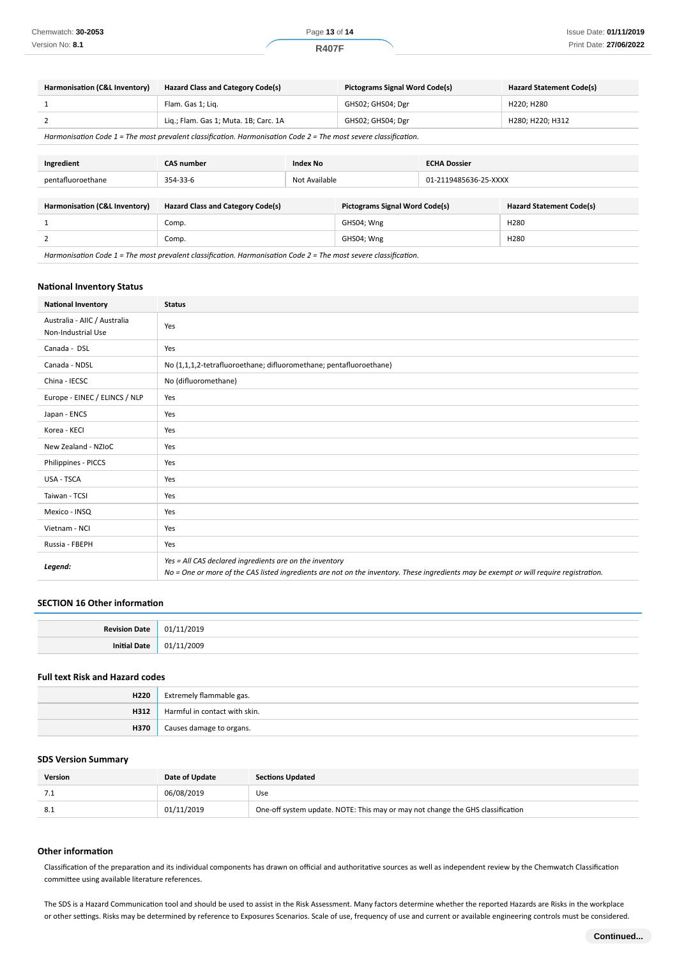| Harmonisation (C&L Inventory) | <b>Hazard Class and Category Code(s)</b>                                                                         |  | <b>Pictograms Signal Word Code(s)</b> |                       | <b>Hazard Statement Code(s)</b> |
|-------------------------------|------------------------------------------------------------------------------------------------------------------|--|---------------------------------------|-----------------------|---------------------------------|
| 1                             | Flam. Gas 1; Lig.                                                                                                |  | GHS02; GHS04; Dgr                     |                       | H220; H280                      |
| 2                             | Lig.; Flam. Gas 1; Muta. 1B; Carc. 1A                                                                            |  | GHS02; GHS04; Dgr                     |                       | H280; H220; H312                |
|                               | Harmonisation Code 1 = The most prevalent classification. Harmonisation Code 2 = The most severe classification. |  |                                       |                       |                                 |
|                               |                                                                                                                  |  |                                       |                       |                                 |
| Ingredient                    | <b>CAS number</b><br><b>Index No</b>                                                                             |  |                                       | <b>ECHA Dossier</b>   |                                 |
| pentafluoroethane             | Not Available<br>354-33-6                                                                                        |  |                                       | 01-2119485636-25-XXXX |                                 |
|                               |                                                                                                                  |  |                                       |                       |                                 |
| Harmonisation (C&L Inventory) | <b>Hazard Class and Category Code(s)</b>                                                                         |  | <b>Pictograms Signal Word Code(s)</b> |                       | <b>Hazard Statement Code(s)</b> |
|                               | Comp.                                                                                                            |  | GHS04; Wng                            |                       | H <sub>280</sub>                |
| 2                             | Comp.                                                                                                            |  | GHS04; Wng                            |                       | H <sub>280</sub>                |
|                               |                                                                                                                  |  |                                       |                       |                                 |

## **National Inventory Status**

| <b>National Inventory</b>                          | <b>Status</b>                                                                                                                                                                                     |
|----------------------------------------------------|---------------------------------------------------------------------------------------------------------------------------------------------------------------------------------------------------|
| Australia - AIIC / Australia<br>Non-Industrial Use | Yes                                                                                                                                                                                               |
| Canada - DSL                                       | Yes                                                                                                                                                                                               |
| Canada - NDSL                                      | No (1,1,1,2-tetrafluoroethane; difluoromethane; pentafluoroethane)                                                                                                                                |
| China - IECSC                                      | No (difluoromethane)                                                                                                                                                                              |
| Europe - EINEC / ELINCS / NLP                      | Yes                                                                                                                                                                                               |
| Japan - ENCS                                       | Yes                                                                                                                                                                                               |
| Korea - KECI                                       | Yes                                                                                                                                                                                               |
| New Zealand - NZIoC                                | Yes                                                                                                                                                                                               |
| Philippines - PICCS                                | Yes                                                                                                                                                                                               |
| USA - TSCA                                         | Yes                                                                                                                                                                                               |
| Taiwan - TCSI                                      | Yes                                                                                                                                                                                               |
| Mexico - INSQ                                      | Yes                                                                                                                                                                                               |
| Vietnam - NCI                                      | Yes                                                                                                                                                                                               |
| Russia - FBEPH                                     | Yes                                                                                                                                                                                               |
| Legend:                                            | Yes = All CAS declared ingredients are on the inventory<br>No = One or more of the CAS listed ingredients are not on the inventory. These ingredients may be exempt or will require registration. |

## **SECTION 16 Other information**

| <b>Povicion</b> | . U J J<br>$\sim$ |
|-----------------|-------------------|
| Init            | ັບບ⊿              |

# **Full text Risk and Hazard codes**

| H220 | Extremely flammable gas.      |
|------|-------------------------------|
| H312 | Harmful in contact with skin. |
| H370 | Causes damage to organs.      |

#### **SDS Version Summary**

| <b>Version</b> | Date of Update | <b>Sections Updated</b>                                                        |
|----------------|----------------|--------------------------------------------------------------------------------|
| .              | 06/08/2019     | Use                                                                            |
| -8.1           | 01/11/2019     | One-off system update. NOTE: This may or may not change the GHS classification |

#### **Other information**

Classification of the preparation and its individual components has drawn on official and authoritative sources as well as independent review by the Chemwatch Classification committee using available literature references.

The SDS is a Hazard Communication tool and should be used to assist in the Risk Assessment. Many factors determine whether the reported Hazards are Risks in the workplace or other settings. Risks may be determined by reference to Exposures Scenarios. Scale of use, frequency of use and current or available engineering controls must be considered.